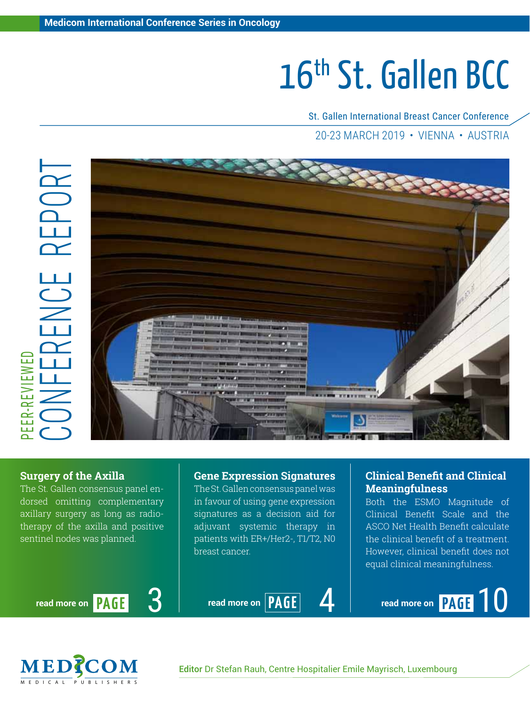# 16th St. Gallen BCC

St. Gallen International Breast Cancer Conference 20-23 March 2019 • Vienna • Austria



### **Surgery of the Axilla**

The St. Gallen consensus panel endorsed omitting complementary axillary surgery as long as radiotherapy of the axilla and positive sentinel nodes was planned.

**Gene Expression Signatures** The St. Gallen consensus panel was

in favour of using gene expression signatures as a decision aid for adjuvant systemic therapy in patients with ER+/Her2-, T1/T2, N0 breast cancer.

# **Clinical Benefit and Clinical Meaningfulness**

Both the ESMO Magnitude of Clinical Benefit Scale and the ASCO Net Health Benefit calculate the clinical benefit of a treatment. However, clinical benefit does not equal clinical meaningfulness.



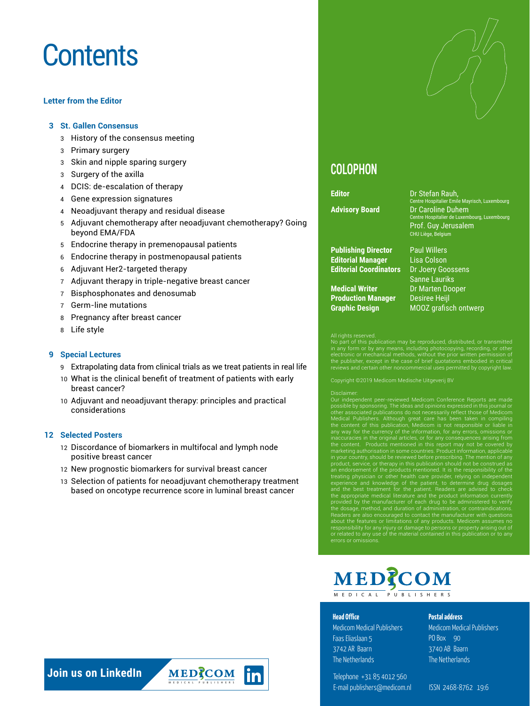# **Contents**

#### **Letter from the Editor**

#### **3 St. Gallen Consensus**

- 3 History of the consensus meeting
- 3 Primary surgery
- 3 Skin and nipple sparing surgery
- 3 Surgery of the axilla
- 4 DCIS: de-escalation of therapy
- 4 Gene expression signatures
- 4 Neoadjuvant therapy and residual disease
- 5 Adjuvant chemotherapy after neoadjuvant chemotherapy? Going beyond EMA/FDA
- 5 Endocrine therapy in premenopausal patients
- 6 Endocrine therapy in postmenopausal patients
- 6 Adjuvant Her2-targeted therapy
- 7 Adjuvant therapy in triple-negative breast cancer
- 7 Bisphosphonates and denosumab
- 7 Germ-line mutations
- 8 Pregnancy after breast cancer
- 8 Life style

#### **9 Special Lectures**

- 9 Extrapolating data from clinical trials as we treat patients in real life
- 10 What is the clinical benefit of treatment of patients with early breast cancer?
- 10 Adjuvant and neoadjuvant therapy: principles and practical considerations

#### **12 Selected Posters**

- 12 Discordance of biomarkers in multifocal and lymph node positive breast cancer
- 12 New prognostic biomarkers for survival breast cancer
- 13 Selection of patients for neoadjuvant chemotherapy treatment based on oncotype recurrence score in luminal breast cancer



# **COLOPHON**

**Publishing Director** Paul Willers **Editorial Manager** Lisa Colson

**Medical Writer** Dr Marten Dooper **Production Manager** Desiree Heijl **Graphic Design** MOOZ grafisch ontwerp

**Editor** Dr Stefan Rauh, Dr Stefan Rauh, Dr Stefan Rauh, Dr Stefan Rauh, Dr Stefan Rauh, Dr Stefan Rauh, Dr Stefan Rauh, Dr Stefan Rauh, Dr Stefan Rauh, Dr Stefan Rauh, Dr Stefan Rauh, Dr Stefan Rauh, Dr Stefan Rauh, Dr St **Advisory Board** Dr Caroline Duhem tre Hospitalier de Luxembourg, Luxembourg Prof. Guy Jerusalem CHU Liège, Belgium

**Editorial Coordinators** Dr Joery Goossens Sanne Lauriks

All rights reserved.<br>No part of this publication may be reproduced, distributed, or transmitted<br>No part of this publication may be reproduced, in strong in experimency<br>in any form or by any means, including photocopying, r

Copyright ©2019 Medicom Medische Uitgeverij BV

Disclaimer.<br>
Disclaimer.<br>
Our independent peer-reviewed Medicom Conference Reports are made<br>
Our independent peer-reviewed Medicom sexpressed in this journal or<br>
one associated publications do not necessarily reflect those

# MED?COM MEDI C AL PUBLISHER S

#### **Head Office**

Medicom Medical Publishers Faas Eliaslaan 5 3742 AR Baarn The Netherlands

Telephone +31 85 4012 560 E-mail publishers@medicom.nl ISSN 2468-8762 19:6

#### **Postal address**

Medicom Medical Publishers PO Box 90 3740 AB Baarn The Netherlands



MEDRCOM MEDI C AL PUBLISHER S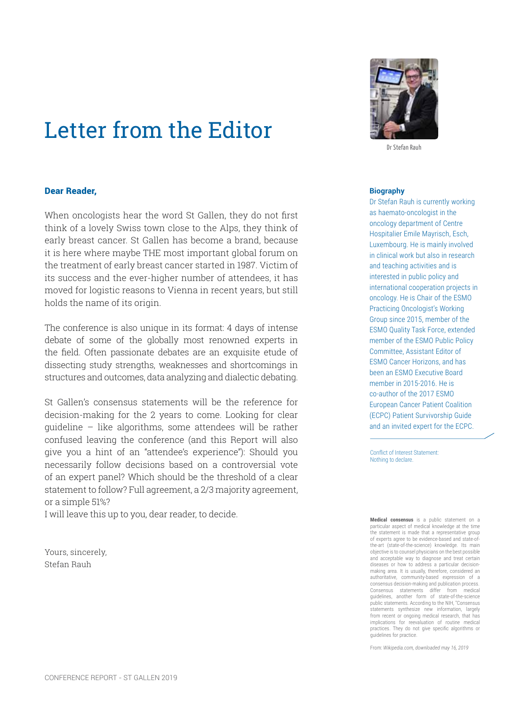# Letter from the Editor

#### Dear Reader,

When oncologists hear the word St Gallen, they do not first think of a lovely Swiss town close to the Alps, they think of early breast cancer. St Gallen has become a brand, because it is here where maybe THE most important global forum on the treatment of early breast cancer started in 1987. Victim of its success and the ever-higher number of attendees, it has moved for logistic reasons to Vienna in recent years, but still holds the name of its origin.

The conference is also unique in its format: 4 days of intense debate of some of the globally most renowned experts in the field. Often passionate debates are an exquisite etude of dissecting study strengths, weaknesses and shortcomings in structures and outcomes, data analyzing and dialectic debating.

St Gallen's consensus statements will be the reference for decision-making for the 2 years to come. Looking for clear guideline – like algorithms, some attendees will be rather confused leaving the conference (and this Report will also give you a hint of an "attendee's experience"): Should you necessarily follow decisions based on a controversial vote of an expert panel? Which should be the threshold of a clear statement to follow? Full agreement, a 2/3 majority agreement, or a simple 51%?

I will leave this up to you, dear reader, to decide.

Yours, sincerely, Stefan Rauh



Dr Stefan Rauh

#### **Biography**

Dr Stefan Rauh is currently working as haemato-oncologist in the oncology department of Centre Hospitalier Emile Mayrisch, Esch, Luxembourg. He is mainly involved in clinical work but also in research and teaching activities and is interested in public policy and international cooperation projects in oncology. He is Chair of the ESMO Practicing Oncologist's Working Group since 2015, member of the ESMO Quality Task Force, extended member of the ESMO Public Policy Committee, Assistant Editor of ESMO Cancer Horizons, and has been an ESMO Executive Board member in 2015-2016. He is co-author of the 2017 ESMO European Cancer Patient Coalition (ECPC) Patient Survivorship Guide and an invited expert for the ECPC.

Conflict of Interest Statement: Nothing to declare.

**Medical consensus** is a public statement on a particular aspect of medical knowledge at the time the statement is made that a representative group of experts agree to be evidence-based and state-ofthe-art (state-of-the-science) knowledge. Its main objective is to counsel physicians on the best possible and acceptable way to diagnose and treat certain diseases or how to address a particular decisionmaking area. It is usually, therefore, considered an authoritative, community-based expression of a consensus decision-making and publication process.<br>Consensus statements differ from medical Consensus statements differ from guidelines, another form of state-of-the-science public statements. According to the NIH, "Consensus statements synthesize new information, largely from recent or ongoing medical research, that has implications for reevaluation of routine medical practices. They do not give specific algorithms or guidelines for practice.

From: *Wikipedia.com, downloaded may 16, 2019*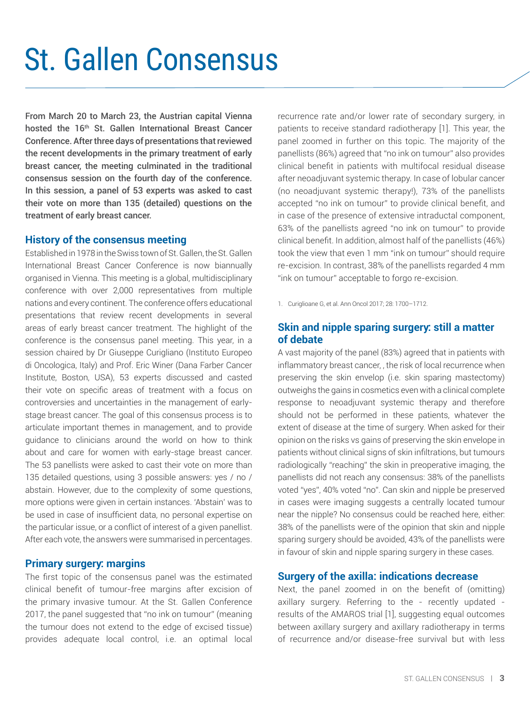# St. Gallen Consensus

From March 20 to March 23, the Austrian capital Vienna hosted the 16<sup>th</sup> St. Gallen International Breast Cancer Conference. After three days of presentations that reviewed the recent developments in the primary treatment of early breast cancer, the meeting culminated in the traditional consensus session on the fourth day of the conference. In this session, a panel of 53 experts was asked to cast their vote on more than 135 (detailed) questions on the treatment of early breast cancer.

#### **History of the consensus meeting**

Established in 1978 in the Swiss town of St. Gallen, the St. Gallen International Breast Cancer Conference is now biannually organised in Vienna. This meeting is a global, multidisciplinary conference with over 2,000 representatives from multiple nations and every continent. The conference offers educational presentations that review recent developments in several areas of early breast cancer treatment. The highlight of the conference is the consensus panel meeting. This year, in a session chaired by Dr Giuseppe Curigliano (Instituto Europeo di Oncologica, Italy) and Prof. Eric Winer (Dana Farber Cancer Institute, Boston, USA), 53 experts discussed and casted their vote on specific areas of treatment with a focus on controversies and uncertainties in the management of earlystage breast cancer. The goal of this consensus process is to articulate important themes in management, and to provide guidance to clinicians around the world on how to think about and care for women with early-stage breast cancer. The 53 panellists were asked to cast their vote on more than 135 detailed questions, using 3 possible answers: yes / no / abstain. However, due to the complexity of some questions, more options were given in certain instances. 'Abstain' was to be used in case of insufficient data, no personal expertise on the particular issue, or a conflict of interest of a given panellist. After each vote, the answers were summarised in percentages.

# **Primary surgery: margins**

The first topic of the consensus panel was the estimated clinical benefit of tumour-free margins after excision of the primary invasive tumour. At the St. Gallen Conference 2017, the panel suggested that "no ink on tumour" (meaning the tumour does not extend to the edge of excised tissue) provides adequate local control, i.e. an optimal local recurrence rate and/or lower rate of secondary surgery, in patients to receive standard radiotherapy [1]. This year, the panel zoomed in further on this topic. The majority of the panellists (86%) agreed that "no ink on tumour" also provides clinical benefit in patients with multifocal residual disease after neoadjuvant systemic therapy. In case of lobular cancer (no neoadjuvant systemic therapy!), 73% of the panellists accepted "no ink on tumour" to provide clinical benefit, and in case of the presence of extensive intraductal component, 63% of the panellists agreed "no ink on tumour" to provide clinical benefit. In addition, almost half of the panellists (46%) took the view that even 1 mm "ink on tumour" should require re-excision. In contrast, 38% of the panellists regarded 4 mm "ink on tumour" acceptable to forgo re-excision.

1. Curiglioane G, et al. Ann Oncol 2017; 28: 1700–1712.

# **Skin and nipple sparing surgery: still a matter of debate**

A vast majority of the panel (83%) agreed that in patients with inflammatory breast cancer, , the risk of local recurrence when preserving the skin envelop (i.e. skin sparing mastectomy) outweighs the gains in cosmetics even with a clinical complete response to neoadjuvant systemic therapy and therefore should not be performed in these patients, whatever the extent of disease at the time of surgery. When asked for their opinion on the risks vs gains of preserving the skin envelope in patients without clinical signs of skin infiltrations, but tumours radiologically "reaching" the skin in preoperative imaging, the panellists did not reach any consensus: 38% of the panellists voted "yes", 40% voted "no". Can skin and nipple be preserved in cases were imaging suggests a centrally located tumour near the nipple? No consensus could be reached here, either: 38% of the panellists were of the opinion that skin and nipple sparing surgery should be avoided, 43% of the panellists were in favour of skin and nipple sparing surgery in these cases.

#### **Surgery of the axilla: indications decrease**

Next, the panel zoomed in on the benefit of (omitting) axillary surgery. Referring to the - recently updated results of the AMAROS trial [1], suggesting equal outcomes between axillary surgery and axillary radiotherapy in terms of recurrence and/or disease-free survival but with less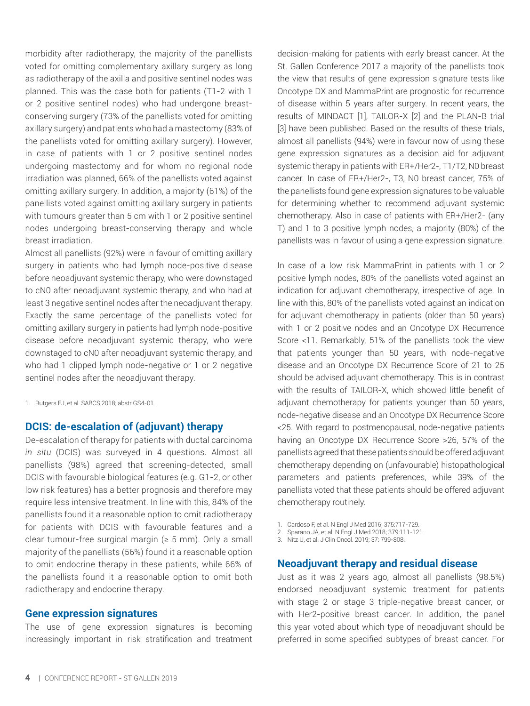morbidity after radiotherapy, the majority of the panellists voted for omitting complementary axillary surgery as long as radiotherapy of the axilla and positive sentinel nodes was planned. This was the case both for patients (T1-2 with 1 or 2 positive sentinel nodes) who had undergone breastconserving surgery (73% of the panellists voted for omitting axillary surgery) and patients who had a mastectomy (83% of the panellists voted for omitting axillary surgery). However, in case of patients with 1 or 2 positive sentinel nodes undergoing mastectomy and for whom no regional node irradiation was planned, 66% of the panellists voted against omitting axillary surgery. In addition, a majority (61%) of the panellists voted against omitting axillary surgery in patients with tumours greater than 5 cm with 1 or 2 positive sentinel nodes undergoing breast-conserving therapy and whole breast irradiation.

Almost all panellists (92%) were in favour of omitting axillary surgery in patients who had lymph node-positive disease before neoadjuvant systemic therapy, who were downstaged to cN0 after neoadjuvant systemic therapy, and who had at least 3 negative sentinel nodes after the neoadjuvant therapy. Exactly the same percentage of the panellists voted for omitting axillary surgery in patients had lymph node-positive disease before neoadjuvant systemic therapy, who were downstaged to cN0 after neoadjuvant systemic therapy, and who had 1 clipped lymph node-negative or 1 or 2 negative sentinel nodes after the neoadjuvant therapy.

1. Rutgers EJ, et al. SABCS 2018; abstr GS4-01.

#### **DCIS: de-escalation of (adjuvant) therapy**

De-escalation of therapy for patients with ductal carcinoma *in situ* (DCIS) was surveyed in 4 questions. Almost all panellists (98%) agreed that screening-detected, small DCIS with favourable biological features (e.g. G1-2, or other low risk features) has a better prognosis and therefore may require less intensive treatment. In line with this, 84% of the panellists found it a reasonable option to omit radiotherapy for patients with DCIS with favourable features and a clear tumour-free surgical margin ( $\geq$  5 mm). Only a small majority of the panellists (56%) found it a reasonable option to omit endocrine therapy in these patients, while 66% of the panellists found it a reasonable option to omit both radiotherapy and endocrine therapy.

#### **Gene expression signatures**

The use of gene expression signatures is becoming increasingly important in risk stratification and treatment decision-making for patients with early breast cancer. At the St. Gallen Conference 2017 a majority of the panellists took the view that results of gene expression signature tests like Oncotype DX and MammaPrint are prognostic for recurrence of disease within 5 years after surgery. In recent years, the results of MINDACT [1], TAILOR-X [2] and the PLAN-B trial [3] have been published. Based on the results of these trials, almost all panellists (94%) were in favour now of using these gene expression signatures as a decision aid for adjuvant systemic therapy in patients with ER+/Her2-, T1/T2, N0 breast cancer. In case of ER+/Her2-, T3, N0 breast cancer, 75% of the panellists found gene expression signatures to be valuable for determining whether to recommend adjuvant systemic chemotherapy. Also in case of patients with ER+/Her2- (any T) and 1 to 3 positive lymph nodes, a majority (80%) of the panellists was in favour of using a gene expression signature.

In case of a low risk MammaPrint in patients with 1 or 2 positive lymph nodes, 80% of the panellists voted against an indication for adjuvant chemotherapy, irrespective of age. In line with this, 80% of the panellists voted against an indication for adjuvant chemotherapy in patients (older than 50 years) with 1 or 2 positive nodes and an Oncotype DX Recurrence Score <11. Remarkably, 51% of the panellists took the view that patients younger than 50 years, with node-negative disease and an Oncotype DX Recurrence Score of 21 to 25 should be advised adjuvant chemotherapy. This is in contrast with the results of TAILOR-X, which showed little benefit of adjuvant chemotherapy for patients younger than 50 years, node-negative disease and an Oncotype DX Recurrence Score <25. With regard to postmenopausal, node-negative patients having an Oncotype DX Recurrence Score >26, 57% of the panellists agreed that these patients should be offered adjuvant chemotherapy depending on (unfavourable) histopathological parameters and patients preferences, while 39% of the panellists voted that these patients should be offered adjuvant chemotherapy routinely.

- 1. Cardoso F, et al. N Engl J Med 2016; 375:717-729.
- 2. Sparano JA, et al. N Engl J Med 2018; 379:111-121.
- 3. Nitz U, et al. J Clin Oncol. 2019; 37: 799-808.

#### **Neoadjuvant therapy and residual disease**

Just as it was 2 years ago, almost all panellists (98.5%) endorsed neoadjuvant systemic treatment for patients with stage 2 or stage 3 triple-negative breast cancer, or with Her2-positive breast cancer. In addition, the panel this year voted about which type of neoadjuvant should be preferred in some specified subtypes of breast cancer. For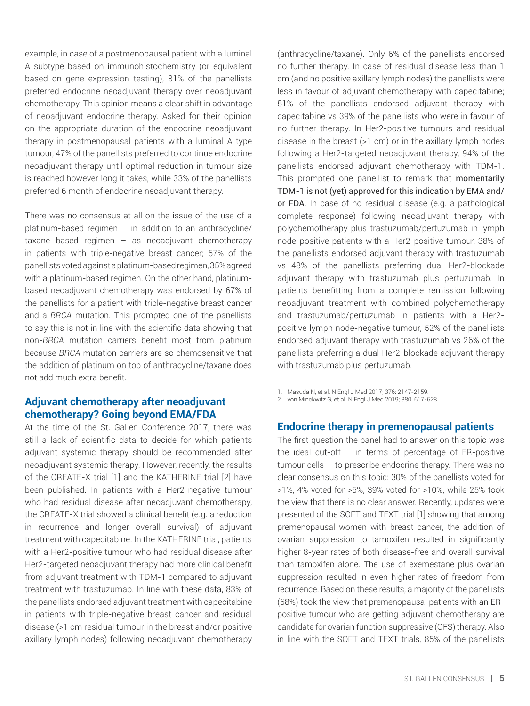example, in case of a postmenopausal patient with a luminal A subtype based on immunohistochemistry (or equivalent based on gene expression testing), 81% of the panellists preferred endocrine neoadjuvant therapy over neoadjuvant chemotherapy. This opinion means a clear shift in advantage of neoadjuvant endocrine therapy. Asked for their opinion on the appropriate duration of the endocrine neoadjuvant therapy in postmenopausal patients with a luminal A type tumour, 47% of the panellists preferred to continue endocrine neoadjuvant therapy until optimal reduction in tumour size is reached however long it takes, while 33% of the panellists preferred 6 month of endocrine neoadjuvant therapy.

There was no consensus at all on the issue of the use of a platinum-based regimen – in addition to an anthracycline/ taxane based regimen  $-$  as neoadjuvant chemotherapy in patients with triple-negative breast cancer; 57% of the panellists voted against a platinum-based regimen, 35% agreed with a platinum-based regimen. On the other hand, platinumbased neoadjuvant chemotherapy was endorsed by 67% of the panellists for a patient with triple-negative breast cancer and a *BRCA* mutation. This prompted one of the panellists to say this is not in line with the scientific data showing that non-*BRCA* mutation carriers benefit most from platinum because *BRCA* mutation carriers are so chemosensitive that the addition of platinum on top of anthracycline/taxane does not add much extra benefit.

# **Adjuvant chemotherapy after neoadjuvant chemotherapy? Going beyond EMA/FDA**

At the time of the St. Gallen Conference 2017, there was still a lack of scientific data to decide for which patients adjuvant systemic therapy should be recommended after neoadjuvant systemic therapy. However, recently, the results of the CREATE-X trial [1] and the KATHERINE trial [2] have been published. In patients with a Her2-negative tumour who had residual disease after neoadjuvant chemotherapy, the CREATE-X trial showed a clinical benefit (e.g. a reduction in recurrence and longer overall survival) of adjuvant treatment with capecitabine. In the KATHERINE trial, patients with a Her2-positive tumour who had residual disease after Her2-targeted neoadjuvant therapy had more clinical benefit from adjuvant treatment with TDM-1 compared to adjuvant treatment with trastuzumab. In line with these data, 83% of the panellists endorsed adjuvant treatment with capecitabine in patients with triple-negative breast cancer and residual disease (>1 cm residual tumour in the breast and/or positive axillary lymph nodes) following neoadjuvant chemotherapy (anthracycline/taxane). Only 6% of the panellists endorsed no further therapy. In case of residual disease less than 1 cm (and no positive axillary lymph nodes) the panellists were less in favour of adjuvant chemotherapy with capecitabine; 51% of the panellists endorsed adjuvant therapy with capecitabine vs 39% of the panellists who were in favour of no further therapy. In Her2-positive tumours and residual disease in the breast (>1 cm) or in the axillary lymph nodes following a Her2-targeted neoadjuvant therapy, 94% of the panellists endorsed adjuvant chemotherapy with TDM-1. This prompted one panellist to remark that momentarily TDM-1 is not (yet) approved for this indication by EMA and/ or FDA. In case of no residual disease (e.g. a pathological complete response) following neoadjuvant therapy with polychemotherapy plus trastuzumab/pertuzumab in lymph node-positive patients with a Her2-positive tumour, 38% of the panellists endorsed adjuvant therapy with trastuzumab vs 48% of the panellists preferring dual Her2-blockade adjuvant therapy with trastuzumab plus pertuzumab. In patients benefitting from a complete remission following neoadjuvant treatment with combined polychemotherapy and trastuzumab/pertuzumab in patients with a Her2 positive lymph node-negative tumour, 52% of the panellists endorsed adjuvant therapy with trastuzumab vs 26% of the panellists preferring a dual Her2-blockade adjuvant therapy with trastuzumab plus pertuzumab.

- 1. Masuda N, et al. N Engl J Med 2017; 376: 2147-2159.
- 2. von Minckwitz G, et al. N Engl J Med 2019; 380: 617-628.

#### **Endocrine therapy in premenopausal patients**

The first question the panel had to answer on this topic was the ideal cut-off  $-$  in terms of percentage of ER-positive tumour cells – to prescribe endocrine therapy. There was no clear consensus on this topic: 30% of the panellists voted for >1%, 4% voted for >5%, 39% voted for >10%, while 25% took the view that there is no clear answer. Recently, updates were presented of the SOFT and TEXT trial [1] showing that among premenopausal women with breast cancer, the addition of ovarian suppression to tamoxifen resulted in significantly higher 8-year rates of both disease-free and overall survival than tamoxifen alone. The use of exemestane plus ovarian suppression resulted in even higher rates of freedom from recurrence. Based on these results, a majority of the panellists (68%) took the view that premenopausal patients with an ERpositive tumour who are getting adjuvant chemotherapy are candidate for ovarian function suppressive (OFS) therapy. Also in line with the SOFT and TEXT trials, 85% of the panellists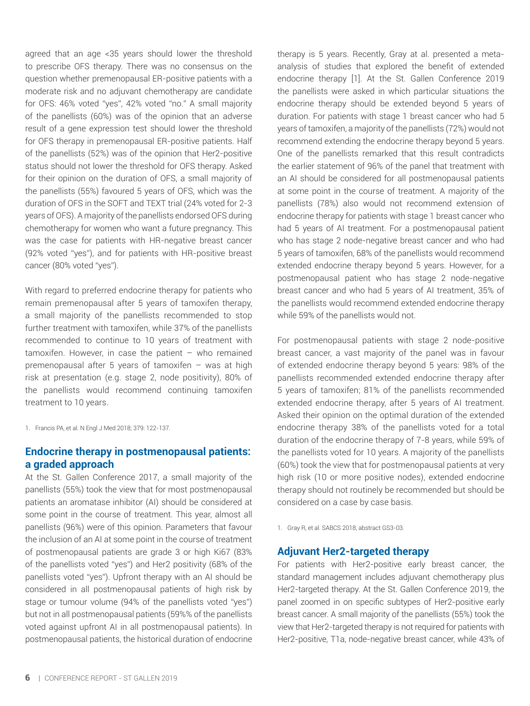agreed that an age <35 years should lower the threshold to prescribe OFS therapy. There was no consensus on the question whether premenopausal ER-positive patients with a moderate risk and no adjuvant chemotherapy are candidate for OFS: 46% voted "yes", 42% voted "no." A small majority of the panellists (60%) was of the opinion that an adverse result of a gene expression test should lower the threshold for OFS therapy in premenopausal ER-positive patients. Half of the panellists (52%) was of the opinion that Her2-positive status should not lower the threshold for OFS therapy. Asked for their opinion on the duration of OFS, a small majority of the panellists (55%) favoured 5 years of OFS, which was the duration of OFS in the SOFT and TEXT trial (24% voted for 2-3 years of OFS). A majority of the panellists endorsed OFS during chemotherapy for women who want a future pregnancy. This was the case for patients with HR-negative breast cancer (92% voted "yes"), and for patients with HR-positive breast cancer (80% voted "yes").

With regard to preferred endocrine therapy for patients who remain premenopausal after 5 years of tamoxifen therapy, a small majority of the panellists recommended to stop further treatment with tamoxifen, while 37% of the panellists recommended to continue to 10 years of treatment with tamoxifen. However, in case the patient – who remained premenopausal after 5 years of tamoxifen – was at high risk at presentation (e.g. stage 2, node positivity), 80% of the panellists would recommend continuing tamoxifen treatment to 10 years.

1. Francis PA, et al. N Engl J Med 2018; 379: 122-137.

# **Endocrine therapy in postmenopausal patients: a graded approach**

At the St. Gallen Conference 2017, a small majority of the panellists (55%) took the view that for most postmenopausal patients an aromatase inhibitor (AI) should be considered at some point in the course of treatment. This year, almost all panellists (96%) were of this opinion. Parameters that favour the inclusion of an AI at some point in the course of treatment of postmenopausal patients are grade 3 or high Ki67 (83% of the panellists voted "yes") and Her2 positivity (68% of the panellists voted "yes"). Upfront therapy with an AI should be considered in all postmenopausal patients of high risk by stage or tumour volume (94% of the panellists voted "yes") but not in all postmenopausal patients (59%% of the panellists voted against upfront AI in all postmenopausal patients). In postmenopausal patients, the historical duration of endocrine therapy is 5 years. Recently, Gray at al. presented a metaanalysis of studies that explored the benefit of extended endocrine therapy [1]. At the St. Gallen Conference 2019 the panellists were asked in which particular situations the endocrine therapy should be extended beyond 5 years of duration. For patients with stage 1 breast cancer who had 5 years of tamoxifen, a majority of the panellists (72%) would not recommend extending the endocrine therapy beyond 5 years. One of the panellists remarked that this result contradicts the earlier statement of 96% of the panel that treatment with an AI should be considered for all postmenopausal patients at some point in the course of treatment. A majority of the panellists (78%) also would not recommend extension of endocrine therapy for patients with stage 1 breast cancer who had 5 years of AI treatment. For a postmenopausal patient who has stage 2 node-negative breast cancer and who had 5 years of tamoxifen, 68% of the panellists would recommend extended endocrine therapy beyond 5 years. However, for a postmenopausal patient who has stage 2 node-negative breast cancer and who had 5 years of AI treatment, 35% of the panellists would recommend extended endocrine therapy while 59% of the panellists would not.

For postmenopausal patients with stage 2 node-positive breast cancer, a vast majority of the panel was in favour of extended endocrine therapy beyond 5 years: 98% of the panellists recommended extended endocrine therapy after 5 years of tamoxifen; 81% of the panellists recommended extended endocrine therapy, after 5 years of AI treatment. Asked their opinion on the optimal duration of the extended endocrine therapy 38% of the panellists voted for a total duration of the endocrine therapy of 7-8 years, while 59% of the panellists voted for 10 years. A majority of the panellists (60%) took the view that for postmenopausal patients at very high risk (10 or more positive nodes), extended endocrine therapy should not routinely be recommended but should be considered on a case by case basis.

1. Gray R, et al. SABCS 2018, abstract GS3-03.

#### **Adjuvant Her2-targeted therapy**

For patients with Her2-positive early breast cancer, the standard management includes adjuvant chemotherapy plus Her2-targeted therapy. At the St. Gallen Conference 2019, the panel zoomed in on specific subtypes of Her2-positive early breast cancer. A small majority of the panellists (55%) took the view that Her2-targeted therapy is not required for patients with Her2-positive, T1a, node-negative breast cancer, while 43% of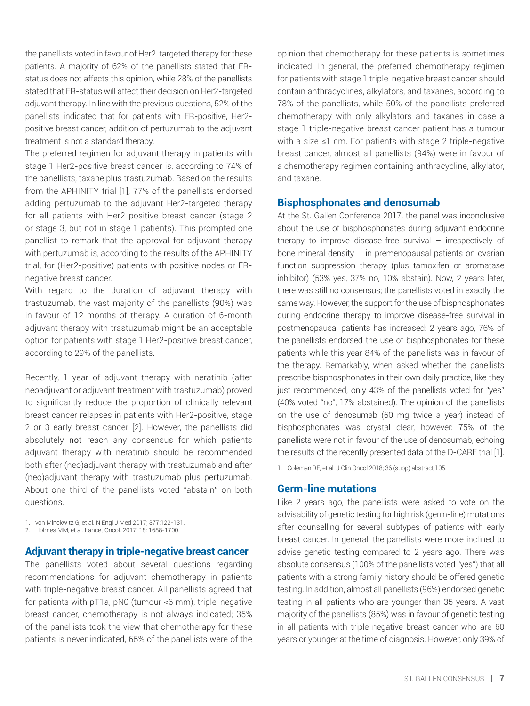the panellists voted in favour of Her2-targeted therapy for these patients. A majority of 62% of the panellists stated that ERstatus does not affects this opinion, while 28% of the panellists stated that ER-status will affect their decision on Her2-targeted adjuvant therapy. In line with the previous questions, 52% of the panellists indicated that for patients with ER-positive, Her2 positive breast cancer, addition of pertuzumab to the adjuvant treatment is not a standard therapy.

The preferred regimen for adjuvant therapy in patients with stage 1 Her2-positive breast cancer is, according to 74% of the panellists, taxane plus trastuzumab. Based on the results from the APHINITY trial [1], 77% of the panellists endorsed adding pertuzumab to the adjuvant Her2-targeted therapy for all patients with Her2-positive breast cancer (stage 2 or stage 3, but not in stage 1 patients). This prompted one panellist to remark that the approval for adjuvant therapy with pertuzumab is, according to the results of the APHINITY trial, for (Her2-positive) patients with positive nodes or ERnegative breast cancer.

With regard to the duration of adjuvant therapy with trastuzumab, the vast majority of the panellists (90%) was in favour of 12 months of therapy. A duration of 6-month adjuvant therapy with trastuzumab might be an acceptable option for patients with stage 1 Her2-positive breast cancer, according to 29% of the panellists.

Recently, 1 year of adjuvant therapy with neratinib (after neoadjuvant or adjuvant treatment with trastuzumab) proved to significantly reduce the proportion of clinically relevant breast cancer relapses in patients with Her2-positive, stage 2 or 3 early breast cancer [2]. However, the panellists did absolutely not reach any consensus for which patients adjuvant therapy with neratinib should be recommended both after (neo)adjuvant therapy with trastuzumab and after (neo)adjuvant therapy with trastuzumab plus pertuzumab. About one third of the panellists voted "abstain" on both questions.

1. von Minckwitz G, et al. N Engl J Med 2017; 377:122-131.

2. Holmes MM, et al. Lancet Oncol. 2017; 18: 1688-1700.

#### **Adjuvant therapy in triple-negative breast cancer**

The panellists voted about several questions regarding recommendations for adjuvant chemotherapy in patients with triple-negative breast cancer. All panellists agreed that for patients with pT1a, pN0 (tumour <6 mm), triple-negative breast cancer, chemotherapy is not always indicated; 35% of the panellists took the view that chemotherapy for these patients is never indicated, 65% of the panellists were of the opinion that chemotherapy for these patients is sometimes indicated. In general, the preferred chemotherapy regimen for patients with stage 1 triple-negative breast cancer should contain anthracyclines, alkylators, and taxanes, according to 78% of the panellists, while 50% of the panellists preferred chemotherapy with only alkylators and taxanes in case a stage 1 triple-negative breast cancer patient has a tumour with a size ≤1 cm. For patients with stage 2 triple-negative breast cancer, almost all panellists (94%) were in favour of a chemotherapy regimen containing anthracycline, alkylator, and taxane.

#### **Bisphosphonates and denosumab**

At the St. Gallen Conference 2017, the panel was inconclusive about the use of bisphosphonates during adjuvant endocrine therapy to improve disease-free survival – irrespectively of bone mineral density – in premenopausal patients on ovarian function suppression therapy (plus tamoxifen or aromatase inhibitor) (53% yes, 37% no, 10% abstain). Now, 2 years later, there was still no consensus; the panellists voted in exactly the same way. However, the support for the use of bisphosphonates during endocrine therapy to improve disease-free survival in postmenopausal patients has increased: 2 years ago, 76% of the panellists endorsed the use of bisphosphonates for these patients while this year 84% of the panellists was in favour of the therapy. Remarkably, when asked whether the panellists prescribe bisphosphonates in their own daily practice, like they just recommended, only 43% of the panellists voted for "yes" (40% voted "no", 17% abstained). The opinion of the panellists on the use of denosumab (60 mg twice a year) instead of bisphosphonates was crystal clear, however: 75% of the panellists were not in favour of the use of denosumab, echoing the results of the recently presented data of the D-CARE trial [1].

1. Coleman RE, et al. J Clin Oncol 2018; 36 (supp) abstract 105.

#### **Germ-line mutations**

Like 2 years ago, the panellists were asked to vote on the advisability of genetic testing for high risk (germ-line) mutations after counselling for several subtypes of patients with early breast cancer. In general, the panellists were more inclined to advise genetic testing compared to 2 years ago. There was absolute consensus (100% of the panellists voted "yes") that all patients with a strong family history should be offered genetic testing. In addition, almost all panellists (96%) endorsed genetic testing in all patients who are younger than 35 years. A vast majority of the panellists (85%) was in favour of genetic testing in all patients with triple-negative breast cancer who are 60 years or younger at the time of diagnosis. However, only 39% of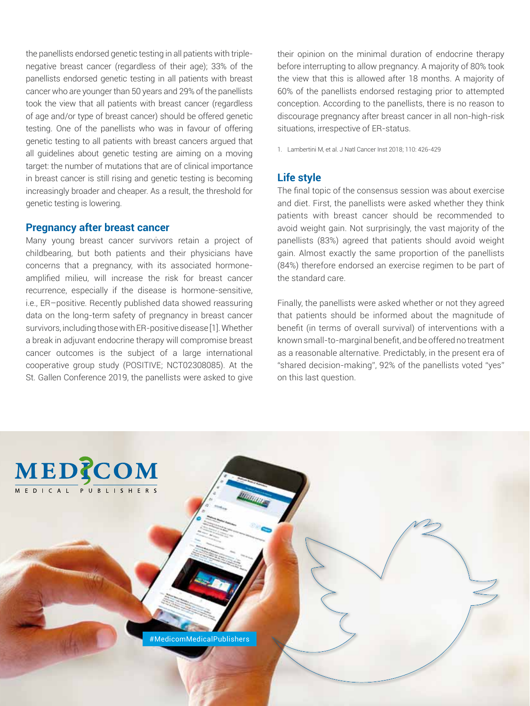the panellists endorsed genetic testing in all patients with triplenegative breast cancer (regardless of their age); 33% of the panellists endorsed genetic testing in all patients with breast cancer who are younger than 50 years and 29% of the panellists took the view that all patients with breast cancer (regardless of age and/or type of breast cancer) should be offered genetic testing. One of the panellists who was in favour of offering genetic testing to all patients with breast cancers argued that all guidelines about genetic testing are aiming on a moving target: the number of mutations that are of clinical importance in breast cancer is still rising and genetic testing is becoming increasingly broader and cheaper. As a result, the threshold for genetic testing is lowering.

#### **Pregnancy after breast cancer**

Many young breast cancer survivors retain a project of childbearing, but both patients and their physicians have concerns that a pregnancy, with its associated hormoneamplified milieu, will increase the risk for breast cancer recurrence, especially if the disease is hormone-sensitive, i.e., ER–positive. Recently published data showed reassuring data on the long-term safety of pregnancy in breast cancer survivors, including those with ER-positive disease [1]. Whether a break in adjuvant endocrine therapy will compromise breast cancer outcomes is the subject of a large international cooperative group study (POSITIVE; NCT02308085). At the St. Gallen Conference 2019, the panellists were asked to give

their opinion on the minimal duration of endocrine therapy before interrupting to allow pregnancy. A majority of 80% took the view that this is allowed after 18 months. A majority of 60% of the panellists endorsed restaging prior to attempted conception. According to the panellists, there is no reason to discourage pregnancy after breast cancer in all non-high-risk situations, irrespective of ER-status.

1. Lambertini M, et al. J Natl Cancer Inst 2018; 110: 426-429

#### **Life style**

The final topic of the consensus session was about exercise and diet. First, the panellists were asked whether they think patients with breast cancer should be recommended to avoid weight gain. Not surprisingly, the vast majority of the panellists (83%) agreed that patients should avoid weight gain. Almost exactly the same proportion of the panellists (84%) therefore endorsed an exercise regimen to be part of the standard care.

Finally, the panellists were asked whether or not they agreed that patients should be informed about the magnitude of benefit (in terms of overall survival) of interventions with a known small-to-marginal benefit, and be offered no treatment as a reasonable alternative. Predictably, in the present era of "shared decision-making", 92% of the panellists voted "yes" on this last question.

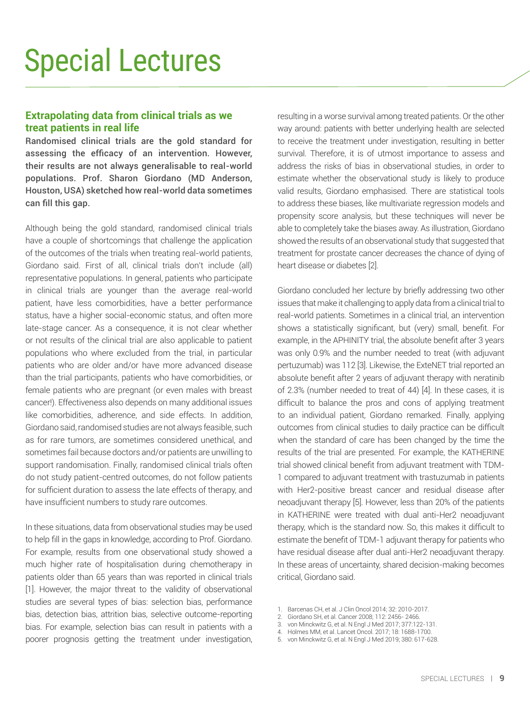# **Extrapolating data from clinical trials as we treat patients in real life**

Randomised clinical trials are the gold standard for assessing the efficacy of an intervention. However, their results are not always generalisable to real-world populations. Prof. Sharon Giordano (MD Anderson, Houston, USA) sketched how real-world data sometimes can fill this gap.

Although being the gold standard, randomised clinical trials have a couple of shortcomings that challenge the application of the outcomes of the trials when treating real-world patients, Giordano said. First of all, clinical trials don't include (all) representative populations. In general, patients who participate in clinical trials are younger than the average real-world patient, have less comorbidities, have a better performance status, have a higher social-economic status, and often more late-stage cancer. As a consequence, it is not clear whether or not results of the clinical trial are also applicable to patient populations who where excluded from the trial, in particular patients who are older and/or have more advanced disease than the trial participants, patients who have comorbidities, or female patients who are pregnant (or even males with breast cancer!). Effectiveness also depends on many additional issues like comorbidities, adherence, and side effects. In addition, Giordano said, randomised studies are not always feasible, such as for rare tumors, are sometimes considered unethical, and sometimes fail because doctors and/or patients are unwilling to support randomisation. Finally, randomised clinical trials often do not study patient-centred outcomes, do not follow patients for sufficient duration to assess the late effects of therapy, and have insufficient numbers to study rare outcomes.

In these situations, data from observational studies may be used to help fill in the gaps in knowledge, according to Prof. Giordano. For example, results from one observational study showed a much higher rate of hospitalisation during chemotherapy in patients older than 65 years than was reported in clinical trials [1]. However, the major threat to the validity of observational studies are several types of bias: selection bias, performance bias, detection bias, attrition bias, selective outcome-reporting bias. For example, selection bias can result in patients with a poorer prognosis getting the treatment under investigation, resulting in a worse survival among treated patients. Or the other way around: patients with better underlying health are selected to receive the treatment under investigation, resulting in better survival. Therefore, it is of utmost importance to assess and address the risks of bias in observational studies, in order to estimate whether the observational study is likely to produce valid results, Giordano emphasised. There are statistical tools to address these biases, like multivariate regression models and propensity score analysis, but these techniques will never be able to completely take the biases away. As illustration, Giordano showed the results of an observational study that suggested that treatment for prostate cancer decreases the chance of dying of heart disease or diabetes [2].

Giordano concluded her lecture by briefly addressing two other issues that make it challenging to apply data from a clinical trial to real-world patients. Sometimes in a clinical trial, an intervention shows a statistically significant, but (very) small, benefit. For example, in the APHINITY trial, the absolute benefit after 3 years was only 0.9% and the number needed to treat (with adjuvant pertuzumab) was 112 [3]. Likewise, the ExteNET trial reported an absolute benefit after 2 years of adjuvant therapy with neratinib of 2.3% (number needed to treat of 44) [4]. In these cases, it is difficult to balance the pros and cons of applying treatment to an individual patient, Giordano remarked. Finally, applying outcomes from clinical studies to daily practice can be difficult when the standard of care has been changed by the time the results of the trial are presented. For example, the KATHERINE trial showed clinical benefit from adjuvant treatment with TDM-1 compared to adjuvant treatment with trastuzumab in patients with Her2-positive breast cancer and residual disease after neoadjuvant therapy [5]. However, less than 20% of the patients in KATHERINE were treated with dual anti-Her2 neoadjuvant therapy, which is the standard now. So, this makes it difficult to estimate the benefit of TDM-1 adjuvant therapy for patients who have residual disease after dual anti-Her2 neoadjuvant therapy. In these areas of uncertainty, shared decision-making becomes critical, Giordano said.

- 1. Barcenas CH, et al. J Clin Oncol 2014; 32: 2010-2017.
- 2. Giordano SH, et al. Cancer 2008; 112: 2456- 2466.
- 3. von Minckwitz G, et al. N Engl J Med 2017; 377:122-131.
- 4. Holmes MM, et al. Lancet Oncol. 2017; 18: 1688-1700.
- 5. von Minckwitz G, et al. N Engl J Med 2019; 380: 617-628.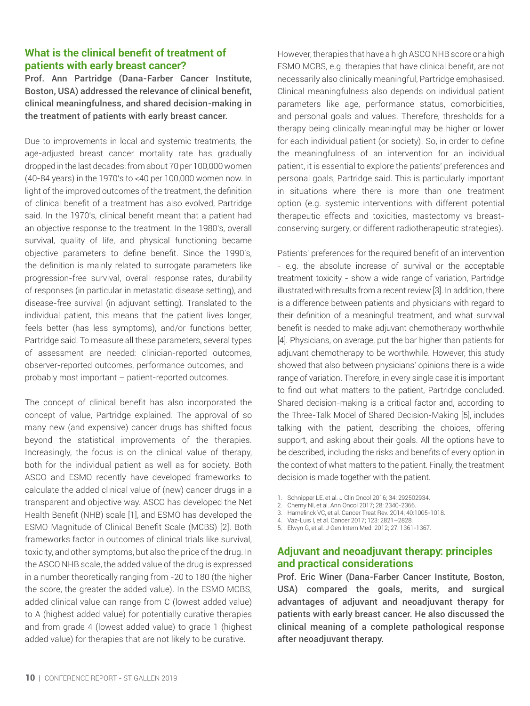# **What is the clinical benefit of treatment of patients with early breast cancer?**

Prof. Ann Partridge (Dana-Farber Cancer Institute, Boston, USA) addressed the relevance of clinical benefit, clinical meaningfulness, and shared decision-making in the treatment of patients with early breast cancer.

Due to improvements in local and systemic treatments, the age-adjusted breast cancer mortality rate has gradually dropped in the last decades: from about 70 per 100,000 women (40-84 years) in the 1970's to <40 per 100,000 women now. In light of the improved outcomes of the treatment, the definition of clinical benefit of a treatment has also evolved, Partridge said. In the 1970's, clinical benefit meant that a patient had an objective response to the treatment. In the 1980's, overall survival, quality of life, and physical functioning became objective parameters to define benefit. Since the 1990's, the definition is mainly related to surrogate parameters like progression-free survival, overall response rates, durability of responses (in particular in metastatic disease setting), and disease-free survival (in adjuvant setting). Translated to the individual patient, this means that the patient lives longer, feels better (has less symptoms), and/or functions better, Partridge said. To measure all these parameters, several types of assessment are needed: clinician-reported outcomes, observer-reported outcomes, performance outcomes, and – probably most important – patient-reported outcomes.

The concept of clinical benefit has also incorporated the concept of value, Partridge explained. The approval of so many new (and expensive) cancer drugs has shifted focus beyond the statistical improvements of the therapies. Increasingly, the focus is on the clinical value of therapy, both for the individual patient as well as for society. Both ASCO and ESMO recently have developed frameworks to calculate the added clinical value of (new) cancer drugs in a transparent and objective way. ASCO has developed the Net Health Benefit (NHB) scale [1], and ESMO has developed the ESMO Magnitude of Clinical Benefit Scale (MCBS) [2]. Both frameworks factor in outcomes of clinical trials like survival, toxicity, and other symptoms, but also the price of the drug. In the ASCO NHB scale, the added value of the drug is expressed in a number theoretically ranging from -20 to 180 (the higher the score, the greater the added value). In the ESMO MCBS, added clinical value can range from C (lowest added value) to A (highest added value) for potentially curative therapies and from grade 4 (lowest added value) to grade 1 (highest added value) for therapies that are not likely to be curative.

However, therapies that have a high ASCO NHB score or a high ESMO MCBS, e.g. therapies that have clinical benefit, are not necessarily also clinically meaningful, Partridge emphasised. Clinical meaningfulness also depends on individual patient parameters like age, performance status, comorbidities, and personal goals and values. Therefore, thresholds for a therapy being clinically meaningful may be higher or lower for each individual patient (or society). So, in order to define the meaningfulness of an intervention for an individual patient, it is essential to explore the patients' preferences and personal goals, Partridge said. This is particularly important in situations where there is more than one treatment option (e.g. systemic interventions with different potential therapeutic effects and toxicities, mastectomy vs breastconserving surgery, or different radiotherapeutic strategies).

Patients' preferences for the required benefit of an intervention - e.g. the absolute increase of survival or the acceptable treatment toxicity - show a wide range of variation, Partridge illustrated with results from a recent review [3]. In addition, there is a difference between patients and physicians with regard to their definition of a meaningful treatment, and what survival benefit is needed to make adjuvant chemotherapy worthwhile [4]. Physicians, on average, put the bar higher than patients for adjuvant chemotherapy to be worthwhile. However, this study showed that also between physicians' opinions there is a wide range of variation. Therefore, in every single case it is important to find out what matters to the patient, Partridge concluded. Shared decision-making is a critical factor and, according to the Three-Talk Model of Shared Decision-Making [5], includes talking with the patient, describing the choices, offering support, and asking about their goals. All the options have to be described, including the risks and benefits of every option in the context of what matters to the patient. Finally, the treatment decision is made together with the patient.

- 1. Schnipper LE, et al. J Clin Oncol 2016; 34: 292502934.
- 2. Cherny NI, et al. Ann Oncol 2017; 28: 2340-2366.
- 3. Hamelinck VC, et al. Cancer Treat Rev. 2014; 40:1005-1018.
- 4. Vaz-Luis I, et al. Cancer 2017; 123: 2821–2828.
- 5. Elwyn G, et al. J Gen Intern Med. 2012; 27: 1361-1367.

### **Adjuvant and neoadjuvant therapy: principles and practical considerations**

Prof. Eric Winer (Dana-Farber Cancer Institute, Boston, USA) compared the goals, merits, and surgical advantages of adjuvant and neoadjuvant therapy for patients with early breast cancer. He also discussed the clinical meaning of a complete pathological response after neoadjuvant therapy.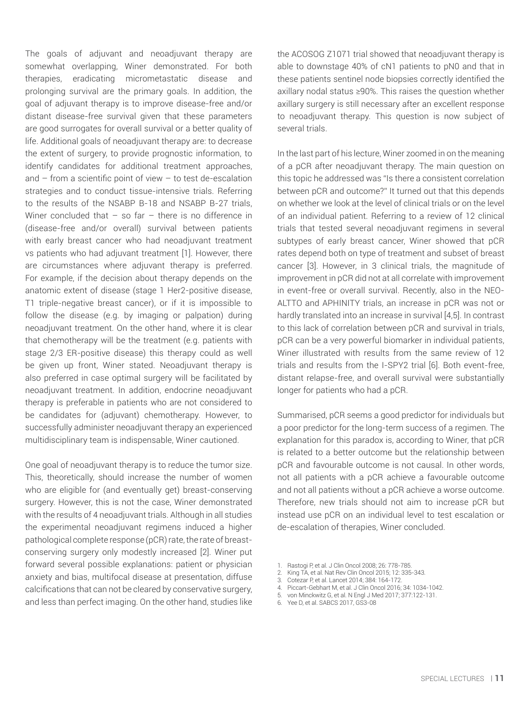The goals of adjuvant and neoadjuvant therapy are somewhat overlapping, Winer demonstrated. For both therapies, eradicating micrometastatic disease and prolonging survival are the primary goals. In addition, the goal of adjuvant therapy is to improve disease-free and/or distant disease-free survival given that these parameters are good surrogates for overall survival or a better quality of life. Additional goals of neoadjuvant therapy are: to decrease the extent of surgery, to provide prognostic information, to identify candidates for additional treatment approaches, and – from a scientific point of view – to test de-escalation strategies and to conduct tissue-intensive trials. Referring to the results of the NSABP B-18 and NSABP B-27 trials, Winer concluded that  $-$  so far  $-$  there is no difference in (disease-free and/or overall) survival between patients with early breast cancer who had neoadjuvant treatment vs patients who had adjuvant treatment [1]. However, there are circumstances where adjuvant therapy is preferred. For example, if the decision about therapy depends on the anatomic extent of disease (stage 1 Her2-positive disease, T1 triple-negative breast cancer), or if it is impossible to follow the disease (e.g. by imaging or palpation) during neoadjuvant treatment. On the other hand, where it is clear that chemotherapy will be the treatment (e.g. patients with stage 2/3 ER-positive disease) this therapy could as well be given up front, Winer stated. Neoadjuvant therapy is also preferred in case optimal surgery will be facilitated by neoadjuvant treatment. In addition, endocrine neoadjuvant therapy is preferable in patients who are not considered to be candidates for (adjuvant) chemotherapy. However, to successfully administer neoadjuvant therapy an experienced multidisciplinary team is indispensable, Winer cautioned.

One goal of neoadjuvant therapy is to reduce the tumor size. This, theoretically, should increase the number of women who are eligible for (and eventually get) breast-conserving surgery. However, this is not the case, Winer demonstrated with the results of 4 neoadjuvant trials. Although in all studies the experimental neoadjuvant regimens induced a higher pathological complete response (pCR) rate, the rate of breastconserving surgery only modestly increased [2]. Winer put forward several possible explanations: patient or physician anxiety and bias, multifocal disease at presentation, diffuse calcifications that can not be cleared by conservative surgery, and less than perfect imaging. On the other hand, studies like the ACOSOG Z1071 trial showed that neoadjuvant therapy is able to downstage 40% of cN1 patients to pN0 and that in these patients sentinel node biopsies correctly identified the axillary nodal status ≥90%. This raises the question whether axillary surgery is still necessary after an excellent response to neoadjuvant therapy. This question is now subject of several trials.

In the last part of his lecture, Winer zoomed in on the meaning of a pCR after neoadjuvant therapy. The main question on this topic he addressed was "Is there a consistent correlation between pCR and outcome?" It turned out that this depends on whether we look at the level of clinical trials or on the level of an individual patient. Referring to a review of 12 clinical trials that tested several neoadjuvant regimens in several subtypes of early breast cancer, Winer showed that pCR rates depend both on type of treatment and subset of breast cancer [3]. However, in 3 clinical trials, the magnitude of improvement in pCR did not at all correlate with improvement in event-free or overall survival. Recently, also in the NEO-ALTTO and APHINITY trials, an increase in pCR was not or hardly translated into an increase in survival [4,5]. In contrast to this lack of correlation between pCR and survival in trials, pCR can be a very powerful biomarker in individual patients, Winer illustrated with results from the same review of 12 trials and results from the I-SPY2 trial [6]. Both event-free, distant relapse-free, and overall survival were substantially longer for patients who had a pCR.

Summarised, pCR seems a good predictor for individuals but a poor predictor for the long-term success of a regimen. The explanation for this paradox is, according to Winer, that pCR is related to a better outcome but the relationship between pCR and favourable outcome is not causal. In other words, not all patients with a pCR achieve a favourable outcome and not all patients without a pCR achieve a worse outcome. Therefore, new trials should not aim to increase pCR but instead use pCR on an individual level to test escalation or de-escalation of therapies, Winer concluded.

- 1. Rastogi P, et al. J Clin Oncol 2008; 26: 778-785.
- 2. King TA, et al. Nat Rev Clin Oncol 2015; 12: 335-343.
- 3. Cotezar P, et al. Lancet 2014; 384: 164-172.
- 4. Piccart-Gebhart M, et al. J Clin Oncol 2016; 34: 1034-1042.
- 5. von Minckwitz G, et al. N Engl J Med 2017; 377:122-131.
- 6. Yee D, et al. SABCS 2017, GS3-08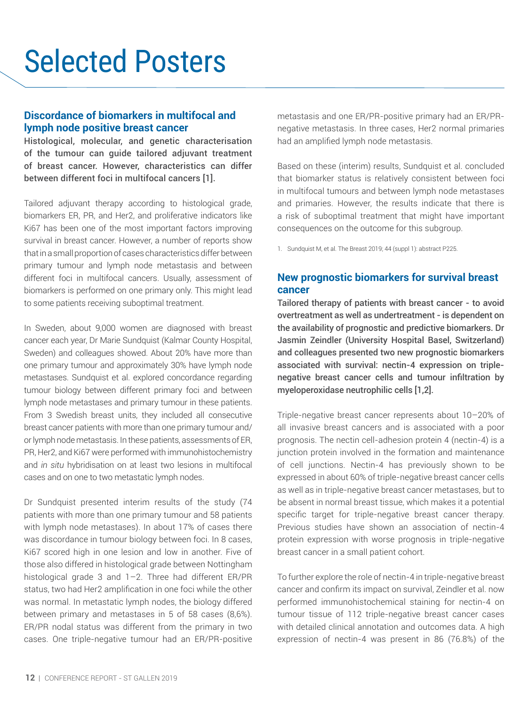# Selected Posters

### **Discordance of biomarkers in multifocal and lymph node positive breast cancer**

Histological, molecular, and genetic characterisation of the tumour can guide tailored adjuvant treatment of breast cancer. However, characteristics can differ between different foci in multifocal cancers [1].

Tailored adjuvant therapy according to histological grade, biomarkers ER, PR, and Her2, and proliferative indicators like Ki67 has been one of the most important factors improving survival in breast cancer. However, a number of reports show that in a small proportion of cases characteristics differ between primary tumour and lymph node metastasis and between different foci in multifocal cancers. Usually, assessment of biomarkers is performed on one primary only. This might lead to some patients receiving suboptimal treatment.

In Sweden, about 9,000 women are diagnosed with breast cancer each year, Dr Marie Sundquist (Kalmar County Hospital, Sweden) and colleagues showed. About 20% have more than one primary tumour and approximately 30% have lymph node metastases. Sundquist et al. explored concordance regarding tumour biology between different primary foci and between lymph node metastases and primary tumour in these patients. From 3 Swedish breast units, they included all consecutive breast cancer patients with more than one primary tumour and/ or lymph node metastasis. In these patients, assessments of ER, PR, Her2, and Ki67 were performed with immunohistochemistry and *in situ* hybridisation on at least two lesions in multifocal cases and on one to two metastatic lymph nodes.

Dr Sundquist presented interim results of the study (74 patients with more than one primary tumour and 58 patients with lymph node metastases). In about 17% of cases there was discordance in tumour biology between foci. In 8 cases, Ki67 scored high in one lesion and low in another. Five of those also differed in histological grade between Nottingham histological grade 3 and 1–2. Three had different ER/PR status, two had Her2 amplification in one foci while the other was normal. In metastatic lymph nodes, the biology differed between primary and metastases in 5 of 58 cases (8,6%). ER/PR nodal status was different from the primary in two cases. One triple-negative tumour had an ER/PR-positive metastasis and one ER/PR-positive primary had an ER/PRnegative metastasis. In three cases, Her2 normal primaries had an amplified lymph node metastasis.

Based on these (interim) results, Sundquist et al. concluded that biomarker status is relatively consistent between foci in multifocal tumours and between lymph node metastases and primaries. However, the results indicate that there is a risk of suboptimal treatment that might have important consequences on the outcome for this subgroup.

1. Sundquist M, et al. The Breast 2019; 44 (suppl 1): abstract P225.

# **New prognostic biomarkers for survival breast cancer**

Tailored therapy of patients with breast cancer - to avoid overtreatment as well as undertreatment - is dependent on the availability of prognostic and predictive biomarkers. Dr Jasmin Zeindler (University Hospital Basel, Switzerland) and colleagues presented two new prognostic biomarkers associated with survival: nectin-4 expression on triplenegative breast cancer cells and tumour infiltration by myeloperoxidase neutrophilic cells [1,2].

Triple-negative breast cancer represents about 10–20% of all invasive breast cancers and is associated with a poor prognosis. The nectin cell-adhesion protein 4 (nectin-4) is a junction protein involved in the formation and maintenance of cell junctions. Nectin-4 has previously shown to be expressed in about 60% of triple-negative breast cancer cells as well as in triple-negative breast cancer metastases, but to be absent in normal breast tissue, which makes it a potential specific target for triple-negative breast cancer therapy. Previous studies have shown an association of nectin-4 protein expression with worse prognosis in triple-negative breast cancer in a small patient cohort.

To further explore the role of nectin-4 in triple-negative breast cancer and confirm its impact on survival, Zeindler et al. now performed immunohistochemical staining for nectin-4 on tumour tissue of 112 triple-negative breast cancer cases with detailed clinical annotation and outcomes data. A high expression of nectin-4 was present in 86 (76.8%) of the